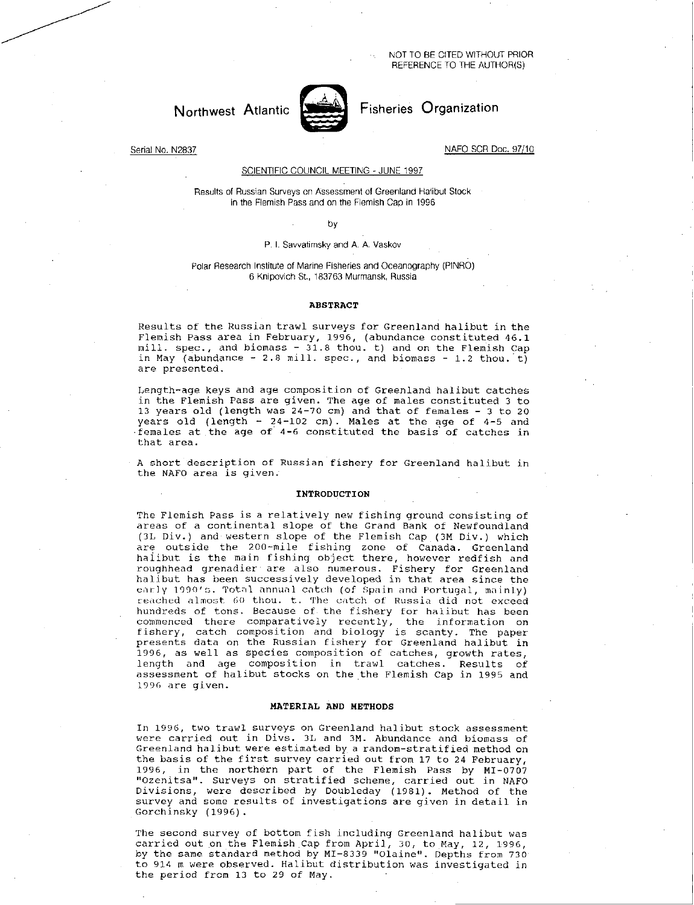NOT TO BE CITED WITHOUT PRIOR REFERENCE TO THE AUTHOR(S)

# Northwest Atlantic **Northwest Atlantic** Fisheries Organization



Serial No. N2837 NAFO SCR Doc. 97/10

# SCIENTIFIC COUNCIL MEETING - JUNE 1997

Results of Russian Surveys on Assessment of Greenland Halibut Stock in the Flemish Pass and on the Flemish Cap in 1996

by

# P. I. Savvatimsky and A. A. Vaskov

# Polar Research Institute of Marine Fisheries and Oceanography (PINRO) 6 Knipovich St., 183763 Murmansk, Russia

#### ABSTRACT

Results of the Russian trawl surveys for Greenland halibut in the Flemish Pass area in February, 1996, (abundance constituted 46.1 mill. spec., and biomass - 31.8 thou. t) and on the Flemish Cap in May (abundance  $-2.8$  mill. spec., and biomass  $-1.2$  thou. t) are presented.

Length-age keys and age composition of Greenland halibut catches in the Flemish Pass are given. The age of males constituted 3 to 13 years old (length was 24-70 cm) and that of females - 3 to 20 years old (length - 24-102 cm). Males at the age of 4-5 and females at the age of 4-6 constituted the basis of catches in that area.

A short description of Russian fishery for Greenland halibut in the NAFO area is given.

#### INTRODUCTION

The Flemish Pass is a relatively new fishing ground consisting of areas of a continental slope of the Grand Bank of Newfoundland (3L Div.) and western slope of the Flemish Cap (3M Div.) which are outside the 200-mile fishing zone of Canada. Greenland halibut is the main fishing object there, however redfish and roughhead grenadier are also numerous. Fishery for Greenland halibut has been successively developed in that area since the early 1990's. Total annual catch (of Spain and Portugal, mainly) reached almost 60 thou. t. The catch of Russia did not exceed hundreds of tons. Because of the fishery for halibut has been commenced there comparatively recently, the information on fishery, catch composition and biology is scanty. The paper presents data on the Russian fishery for Greenland halibut in 1996, as well as species composition of catches, growth rates, length and age composition in trawl catches. Results of assessment of halibut stocks on the the Flemish Cap in 1995 and 1996 are given.

#### MATERIAL AND METHODS

In 1996, two trawl surveys on Greenland halibut stock assessment were carried out in Divs. 3L and 3M. Abundance and biomass of Greenland halibut were estimated by a random-stratified method on the basis of the first survey carried out from 17 to 24 February, 1996, in the northern part of the Flemish Pass by MI-0707 "Ozenitsa". Surveys on stratified scheme, carried out in NAFO Divisions, were described by Doubleday (1981). Method of the survey and some results of investigations are given in detail in Gorchinsky (1996).

The second survey of bottom fish including Greenland halibut was carried out on the Flemish Cap from April, 30, to May, 12, 1996, by the same standard method by MI-8339 "Olaine". Depths from 730 to 914 m were observed. Halibut distribution was investigated in the period from 13 to 29 of May.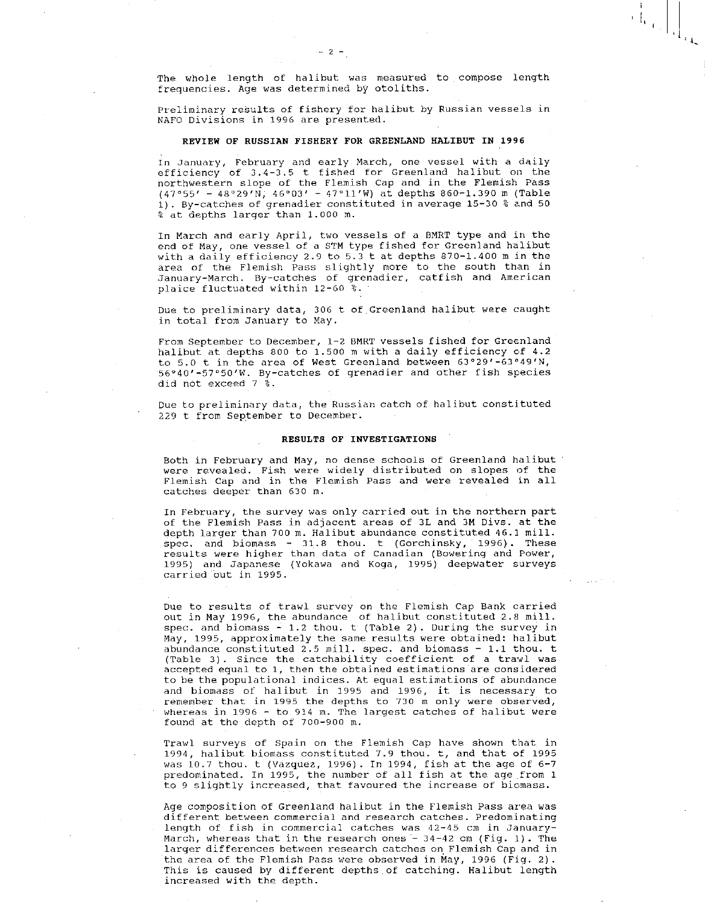Н.

Preliminary results of fishery for halibut by Russian vessels in NAFO Divisions in 1996 are presented.

# REVIEW OF RUSSIAN FISHERY FOR GREENLAND HALIBUT IN 1996

In January, February and early March, one vessel with a daily efficiency of 3.4-3.5 t fished for Greenland halibut on the northwestern slope of the Flemish Cap and in the Flemish Pass (47°55' - 48°29'N, 46°03' - 47°11'W) at depths 860-1.390 m (Table 1). By-catches of grenadier constituted in average 15-30 % and 50 % at depths larger than 1.000 m.

In March and early April, two vessels of a BMRT type and in the end of May, one vessel of a STM type fished for Greenland halibut with a daily efficiency 2.9 to 5.3 t at depths 870-1.400 m in the area of the Flemish Pass slightly more to the south than in January-March. By-catches of grenadier, catfish and American plaice fluctuated within 12-60 %.

Due to preliminary data, 306 t of Greenland halibut were caught in total from January to May.

From September to December, 1-2 BMRT vessels fished for Greenland halibut at depths 800 to 1.500 m with a daily efficiency of 4.2 to 5.0 t in the area of West Greenland between 63°29'-63°49'N, 56°40'-57°50'W. By-catches of grenadier and other fish species did not exceed 7 %.

Due to preliminary data, the Russian catch of halibut constituted 229 t from September to December.

#### RESULTS OF INVESTIGATIONS

Both in February and May, no dense schools of Greenland halibut were revealed. Fish were widely distributed on slopes of the Flemish Cap and in the Flemish Pass and were revealed in all catches deeper than 630 m.

In February, the survey was only carried out in the northern part of the Flemish Pass in adjacent areas of 3L and 3M Divs. at the depth larger than 700 m. Halibut abundance constituted 46.1 mill. spec. and biomass - 31.8 thou. t (Gorchinsky, 1996). These results were higher than data of Canadian (Bowering and Power, 1995) and Japanese (Yokawa and Koga, 1995) deepwater surveys carried out in 1995.

Due to results of trawl survey on the Flemish Cap Bank carried out in May 1996, the abundance of halibut constituted 2.8 mill. spec. and biomass - 1.2 thou. t (Table 2). During the survey in May, 1995, approximately the same results were obtained: halibut abundance constituted 2.5 mill. spec. and biomass - 1.1 thou. t (Table 3). Since the catchability coefficient of a trawl was accepted equal to 1, then the obtained estimations are considered to be the populational indices. At equal estimations of abundance and biomass of halibut in 1995 and 1996, it is necessary to remember that in 1995 the depths to 730 m only were observed, whereas in 1996 - to 914 m. The largest catches of halibut were found at the depth of 700-900 m.

Trawl surveys of Spain on the Flemish Cap have shown that in 1994, halibut biomass constituted 7.9 thou. t, and that of 1995 was 10.7 thou. t (Vazquez, 1996). In 1994, fish at the age of 6-7 predominated. In 1995, the number of all fish at the age from 1 to 9 slightly increased, that favoured the increase of biomass.

Age composition of Greenland halibut in the Flemish Pass area was different between commercial and research catches. Predominating length of fish in commercial catches was 42-45 cm in January-March, whereas that in the research ones  $-34-42$  cm (Fig. 1). The larger differences between research catches on Flemish Cap and in the area of the Flemish Pass were observed in May, 1996 (Fig. 2). This is caused by different depths of catching. Halibut length increased with the depth.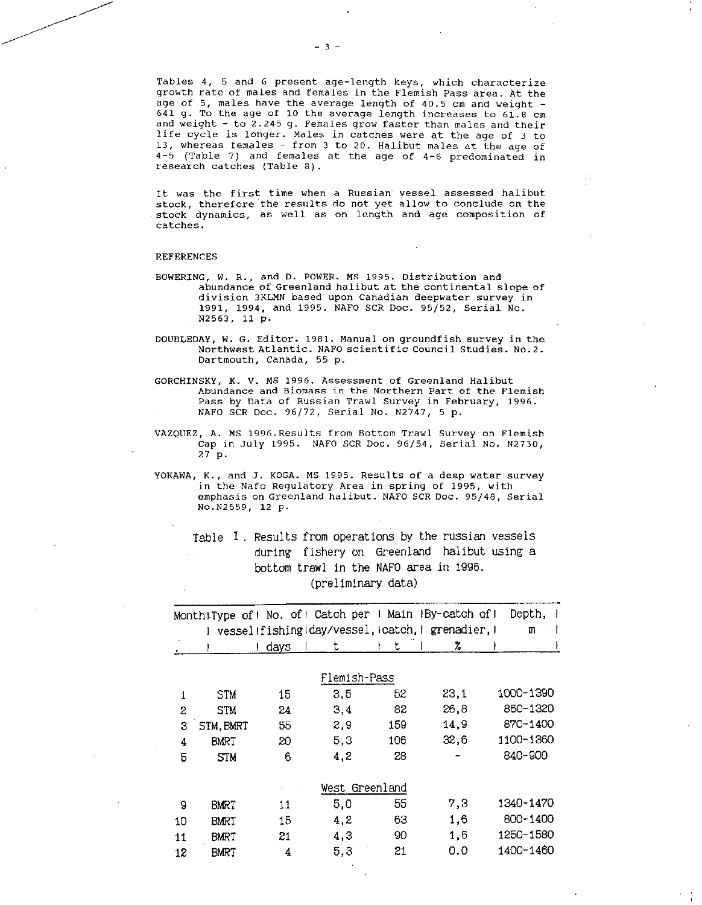Tables 4, 5 and 6 present age-length keys, which characterize growth rate of males and females in the Flemish Pass area. At the age of 5, males have the average length of  $40.5$  cm and weight -641 g. To the age of 10 the average length increases to 61.8 cm and weight - to 2.245 g. Females grow faster than males and their life cycle is longer. Males in catches were at the age of 3 to 13, whereas females - from 3 to 20. Halibut males at the age of 4-5 (Table 7) and females at the age of 4-6 predominated in research catches (Table 8).

It was the first time when a Russian vessel assessed halibut stock, therefore the results do not yet allow to conclude on the stock dynamics, as well as on length and age composition of catches.

#### REFERENCES

- BOWERING, W. R., and D. POWER. MS 1995. Distribution and abundance of Greenland halibut at the continental slope of division 3KLMN based upon Canadian deepwater survey in 1991, 1994, and 1995. NAFO SCR Doc. 95/52, Serial No. N2563, 11 p.
- DOUBLEDAY, W. G. Editor. 1981. Manual on groundfish survey in the Northwest Atlantic. NAFO scientific Council Studies. No.2. Dartmouth, Canada, 55 p.
- GORCHINSKY, K. V. MS 1996. Assessment of Greenland Halibut Abundance and Biomass in the Northern Part of the Flemish Pass by Data of Russian Trawl Survey in February, 1996. NAFO SCR Doc. 96/72, Serial No. N2747, 5 p.
- VAZQUEZ, A. MS 1996.Results from Bottom Trawl Survey on Flemish Cap in July 1995. NAFO SCR Doc. 96/54, Serial No. N2730, 27 p.
- YOKAWA, K., and J. KOGA. MS1995. Results of a deep water survey in the Nafo Regulatory Area in spring of 1995, with emphasis on Greenland halibut. NAFO SCR Doc. 95/48, Serial No.N2559, 12 p.

Table T. Results from operations by the russian vessels during fishery on Greenland halibut using a bottom trawl in the NAFO area in 1996. (preliminary data)

|    |             | Month!Type of! No. of! Catch per I Main IBy-catch of! |                |     |      | Depth,    |
|----|-------------|-------------------------------------------------------|----------------|-----|------|-----------|
|    |             | vessel!fishing!day/vessel, icatch,   grenadier,       |                |     |      | m         |
|    |             | I days                                                | t              | t   | z.   |           |
|    |             |                                                       |                |     |      |           |
|    |             |                                                       | Flemish-Pass   |     |      |           |
| 1  | <b>STM</b>  | 15                                                    | 3,5            | 52  | 23,1 | 1000-1390 |
| 2  | <b>STM</b>  | 24                                                    | 3,4            | 82  | 26,8 | 860-1320  |
| 3  | STM, BMRT   | 55                                                    | 2,9            | 159 | 14,9 | 870-1400  |
| 4  | BMRT        | 20                                                    | 5,3            | 106 | 32,6 | 1100-1360 |
| 5  | <b>STM</b>  | 6                                                     | 4,2            | 28  |      | 840-900   |
|    |             |                                                       |                |     |      |           |
|    |             |                                                       | West Greenland |     |      |           |
| 9  | BMRT        | 11                                                    | 5,0            | 55  | 7,3  | 1340-1470 |
| 10 | <b>BMRT</b> | 15                                                    | 4,2            | 63  | 1,6  | 800-1400  |
| 11 | BMRT        | 21                                                    | 4,3            | 90  | 1,6  | 1250-1580 |
| 12 | BMRT        | 4                                                     | 5,3            | 21  | 0.0  | 1400-1460 |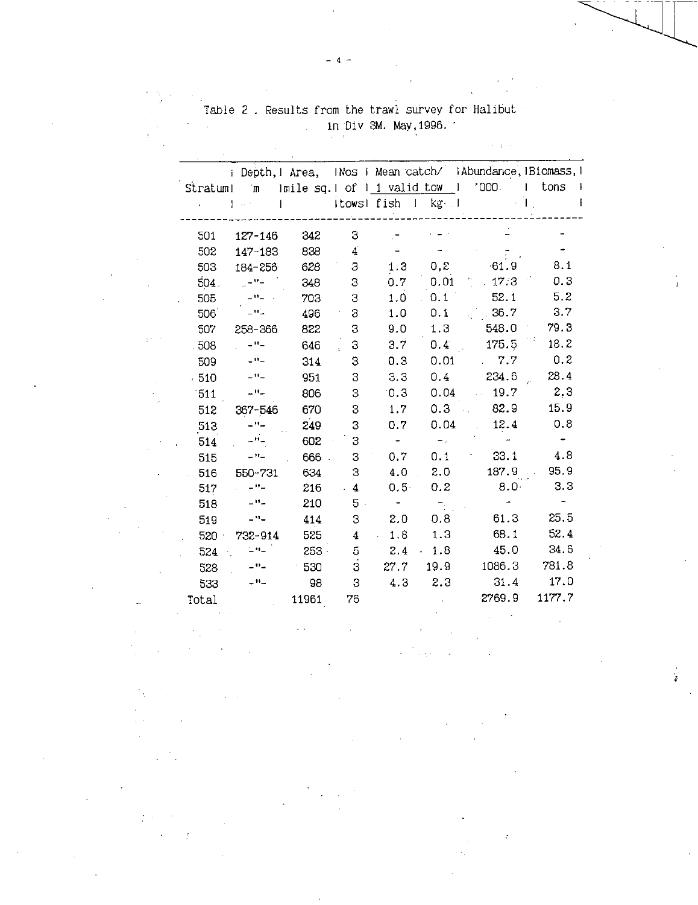|        |                                      |         |                |                  |                                | i Depth, 1 Area, INos i Mean catch/ IAbundance, IBiomass, 1 |        |
|--------|--------------------------------------|---------|----------------|------------------|--------------------------------|-------------------------------------------------------------|--------|
|        | Stratum! m                           |         |                |                  | Imile sq. I of 1 1 valid tow 1 | $^{\circ}000$ .                                             | tons   |
|        |                                      |         |                | Itowsl fish 1    | $kg - 1$                       |                                                             |        |
|        |                                      |         |                |                  |                                |                                                             |        |
| 501    | 127-146                              | 342     | 3              |                  |                                |                                                             |        |
| 502    | 147-183                              | 838     | $\overline{4}$ |                  |                                |                                                             |        |
| 503    | 184-256                              | 628     | З              | 1.3              | 0,2                            | $-61.9$                                                     | 3.1    |
| 504.   | $\mu = 2$                            | 348     | 3              | 0.7 <sub>1</sub> | 0.01                           | $-17.3$                                                     | 0.3    |
| 505    | $\mathbf{u}_1$ , $\mathbf{u}_2$      | 703     | 3              | 1.0              | 0.1                            | 52.1                                                        | 5.2    |
| 506    | $\pm 0$                              | 496     | 3              | 1.0              | 0.1                            | .36.7                                                       | 3.7    |
| 507    | 258-366                              | 822     | 3              | 9.0              | 1.3                            | 548.0                                                       | 79.3   |
| .508   | $ \mathbf{H}$ $-$                    | 646     | 3              | 3.7              | 0.4 <sub>1</sub>               | 175.5                                                       | 18.2   |
| 509    | $ \Omega$ $-$                        | 314     | 3              | 0.3              | 0.01                           | 7.7                                                         | 0.2    |
| $-510$ | $ \mathbf{H}$ $-$                    | 951     | 3              | 3.3              | 0.4                            | 234.6                                                       | 28.4   |
| 511    | $\mathbf{u}$                         | 806     | 3              | 0.3              | 0.04                           | 19.7                                                        | 2.3    |
| 512    | 367-546                              | 670     | 3              | 1.7              | 0.3                            | 82.9                                                        | 15.9   |
| 513    | - ''-                                | 249     | 3              | 0.7              | 0.04                           | 12.4                                                        | 0.8    |
| 514    | - '' -                               | 602     | 3              |                  |                                |                                                             |        |
| 515    | - 11 -                               | 666     | 3              | $0.7^{\circ}$    | 0.1                            | 33.1                                                        | 4.8    |
| 516    | 550-731                              | 634.    | З              | 4.0              | 2.0                            | 187.9                                                       | 95.9   |
| 517    | - '' -                               | 216     | 4              | $0.5 -$          | 0.2                            | 8.0 <sub>1</sub>                                            | 3.3    |
| 518    | - "-                                 | 210     | $5 -$          |                  |                                |                                                             |        |
| 519    | $-11-$                               | 414     | 3              | 2.0              | 0, 8                           | 61.3                                                        | 25.5   |
| 520    | 732-914                              | 525     | 4              | 1.8              | 1.3                            | 68.1                                                        | 52.4   |
| 524    | $\sqsubseteq$ $\Theta$ $\sqsubseteq$ | $253 -$ | 5              | 2.4              | $-1.8$                         | 45.0                                                        | 34.6   |
| 528    | $ \mathbf{H}$ $-$                    | 530     | $\overline{3}$ | 27.7             | 19.9                           | 1086.3                                                      | 781.8  |
| 533    | $ \lambda$ $-$                       | 98      | 3              | 4.3              | 2.3                            | 31.4                                                        | 17.0   |
| Total  |                                      | 11961   | 76             |                  |                                | 2769.9                                                      | 1177.7 |
|        |                                      |         |                |                  |                                |                                                             |        |

 $\epsilon$  .

 $\sigma_{\rm p} \ll 1$ 

Table 2 . Results from the trawl survey for Halibut in Div 3M. May,1996. '

 $\beta=\delta-\epsilon$ 

 $\hat{\mathfrak{o}}$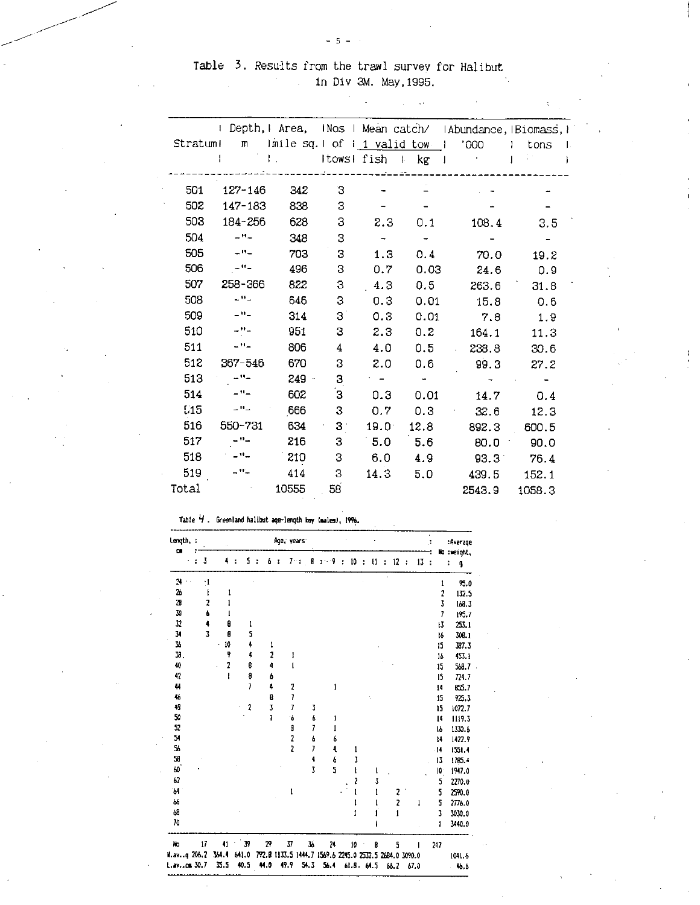$\mathcal{F}_{\mathcal{A}}(\mathcal{A})$ 

 $\mathcal{L}_{\rm{max}}$  and  $\mathcal{L}_{\rm{max}}$ 

 $\mathbf{v}$ 

 $-5 -$ 

|            |                   |                                    |             |                          |                           | I Depth, I Area, INos I Mean catch/ IAbundance, IBiomass, I |        |  |
|------------|-------------------|------------------------------------|-------------|--------------------------|---------------------------|-------------------------------------------------------------|--------|--|
| Stratuml   | m                 | $lmlle$ sq. $l$ of $l_1$ valid tow |             |                          |                           | '000'                                                       | tons   |  |
|            |                   | L.                                 | Itows! fish |                          | kg<br>$\mathbb{R}^n$<br>T |                                                             |        |  |
| 501        | $127 - 146$       | 342                                | З           |                          |                           |                                                             |        |  |
| 502        | 147-183           | 838                                | 3           |                          |                           |                                                             |        |  |
| 503        | 184-256           | 628                                | 3           | 2.3                      | 0.1                       | 108.4                                                       | 3.5    |  |
| 504        | $-$ H $-$         | 348                                | 3           | $\overline{\phantom{a}}$ |                           |                                                             |        |  |
| 505        | $ -$              | 703                                | 3           | 1.3                      | 0.4                       | 70.0                                                        | 19.2   |  |
| 506        | - "-              | 496                                | 3           | 0.7                      | 0.03                      | 24.6                                                        | 0.9    |  |
| 507        | 258-366           | 822                                | 3           | 4.3                      | 0.5                       | 263.6                                                       | 31.8   |  |
| 508        | - "-              | 646                                | 3           | 0.3                      | 0.01                      | 15.8                                                        | 0.6    |  |
| 509        | -"-               | 314                                | 3           | 0.3                      | 0.01                      | 7.8                                                         | 1.9    |  |
| 510        | - "-              | 951                                | 3           | 2.3                      | 0.2                       | 164.1                                                       | 11.3   |  |
| 511        | - "-              | 806                                | 4           | 4.0                      | 0.5                       | 238.8                                                       | 30.6   |  |
| 512        | 367-546           | 670                                | 3           | 2.0                      | 0.6                       | 99.3                                                        | 27.2   |  |
| 513        | $-11$             | $249 -$                            | З           |                          |                           |                                                             |        |  |
| 514        | $ \mathbf{H}$ $-$ | 602                                | 3           | 0.3                      | 0.01                      | 14.7                                                        | 0.4    |  |
| <b>L15</b> | ت ۱۱ ت            | 666                                | 3           | 0.7                      | 0.3                       | 32.6                                                        | 12.3   |  |
| 516        | 550-731           | 634                                | 3           | $19.0^\circ$             | 12.8                      | 892.3                                                       | 600.5  |  |
| 517        | $-12$             | 216                                | 3           | 5.0                      | 5.6                       | 80.0                                                        | 90.0   |  |
| 518        | $ \cdot$ $-$      | 210                                | 3           | 6.0                      | 4.9                       | 93.3 <sup>2</sup>                                           | 76.4   |  |
| 519        | - '' -            | 414                                | 3           | 14.3                     | 5.0                       | 439.5                                                       | 152.1  |  |
| Total      |                   | 10555                              | 58          |                          |                           | 2543.9                                                      | 1058.3 |  |

Table 4. Greenland halibut age-length key (males), 1996.

| length, :<br>$\alpha$ |              |                         |       |                         |   |                         |   |      | Age years |                |                                                        |                             |   |           |     |              |   |                         |      | ÷ |                         | : Average<br>No :weight, |
|-----------------------|--------------|-------------------------|-------|-------------------------|---|-------------------------|---|------|-----------|----------------|--------------------------------------------------------|-----------------------------|---|-----------|-----|--------------|---|-------------------------|------|---|-------------------------|--------------------------|
|                       | $\mathbf{r}$ | 3                       |       | 4                       | ÷ | S                       | ÷ | 6    | . .       | 7:             |                                                        | $\mathbf{B}$ : $\mathbf{B}$ | ÷ | 10        | - 1 | $\mathbf{H}$ | ÷ | 12:                     | 13:  |   |                         | g                        |
| 24<br>$\sim$          |              | $\cdot$ 1               |       |                         |   |                         |   |      |           |                |                                                        |                             |   |           |     |              |   |                         |      |   | 1                       | 95.0                     |
| 26                    |              | I                       |       | 1                       |   |                         |   |      |           |                |                                                        |                             |   |           |     |              |   |                         |      |   | $\overline{\mathbf{c}}$ | 132.5                    |
| 28                    |              | $\overline{\mathbf{z}}$ |       |                         |   |                         |   |      |           |                |                                                        |                             |   |           |     |              |   |                         |      |   | J                       | 168.3                    |
| 30                    |              | 6                       |       |                         |   |                         |   |      |           |                |                                                        |                             |   |           |     |              |   |                         |      |   | $\overline{7}$          | 195.7                    |
| 32                    |              | 4                       |       | 8                       |   | ı                       |   |      |           |                |                                                        |                             |   |           |     |              |   |                         |      |   | IJ                      | 253.1                    |
| 34                    |              | 3                       |       | Ø                       |   | 5                       |   |      |           |                |                                                        |                             |   |           |     |              |   |                         |      |   | 16                      | 308.1                    |
| y,                    |              |                         |       | 10                      |   | 4                       |   | 1    |           |                |                                                        |                             |   |           |     |              |   |                         |      |   | 15                      | 387.3                    |
| 39.                   |              |                         |       | 9                       |   | 4                       |   | 2    |           | 1              |                                                        |                             |   |           |     |              |   |                         |      |   | 16                      | 453.1                    |
| 40                    |              |                         |       | $\overline{\mathbf{z}}$ |   | 8                       |   | 4    |           | t              |                                                        |                             |   |           |     |              |   |                         |      |   | 15                      | 568.7                    |
| 42                    |              |                         |       | ı                       |   | 9                       |   | 6    |           |                |                                                        |                             |   |           |     |              |   |                         |      |   | 15                      | 724.7                    |
| 44                    |              |                         |       |                         |   | 7                       |   | 4    |           | $\overline{2}$ |                                                        | ı                           |   |           |     |              |   |                         |      |   | 14                      | 85.7                     |
| 46                    |              |                         |       |                         |   |                         |   | B    |           | 7              |                                                        |                             |   |           |     |              |   |                         |      |   | 15                      | 925.3                    |
| 48                    |              |                         |       |                         |   | $\overline{\mathbf{c}}$ |   | J    |           | 7              | 3                                                      |                             |   |           |     |              |   |                         |      |   | 15                      | 1072.7                   |
| 50                    |              |                         |       |                         |   |                         |   | ï    |           | 6              | 6                                                      | 1                           |   |           |     |              |   |                         |      |   | Į4                      | 1119.3                   |
| 52                    |              |                         |       |                         |   |                         |   |      |           | θ              | 7                                                      | 1                           |   |           |     |              |   |                         |      |   | l6                      | 1330.6                   |
| 54                    |              |                         |       |                         |   |                         |   |      |           | 2              | 6                                                      | 6                           |   |           |     |              |   |                         |      |   | 14                      | 1422.9                   |
| 56                    |              |                         |       |                         |   |                         |   |      |           | $\overline{a}$ | Z                                                      | 4                           |   | ı         |     |              |   |                         |      |   | $\cdot$ 14              | 1551.1                   |
| 58                    |              |                         |       |                         |   |                         |   |      |           |                | 4                                                      | 6                           |   | J         |     |              |   |                         |      |   | 13                      | 1785.4                   |
| 40                    |              |                         |       |                         |   |                         |   |      |           |                | $\overline{3}$                                         | 5                           |   | ŧ         |     | t            |   |                         |      |   | 10                      | 1947.0                   |
| $\frac{1}{2}$         |              |                         |       |                         |   |                         |   |      |           |                |                                                        |                             |   | 2         |     | 1            |   |                         |      |   | 5                       | 2270.0                   |
| $^{14}$               |              |                         |       |                         |   |                         |   |      |           | 1              |                                                        |                             |   | ı         |     | $\mathbf{1}$ |   | 2                       |      |   | 5                       | 2590.0                   |
| 66                    |              |                         |       |                         |   |                         |   |      |           |                |                                                        |                             |   |           |     | 1            |   | $\overline{\mathbf{c}}$ | 1    |   | 5                       | 2776.0                   |
| ò8                    |              |                         |       |                         |   |                         |   |      |           |                |                                                        |                             |   | Í         |     | 1            |   | $\mathbf{1}$            |      |   | 2                       | 3030.0                   |
| 70                    |              |                         |       |                         |   |                         |   |      |           |                |                                                        |                             |   |           |     | ۱            |   |                         |      |   | 1                       | 3440.0                   |
| - No                  |              | 17                      |       | 41                      |   | 39                      |   | 29   |           | 37             | 36                                                     | $\overline{2}$              |   | 10        |     | ₿            |   | 5                       |      |   | 247                     |                          |
| il. av. q 206.2       |              |                         | 364.4 |                         |   | 641.0                   |   |      |           |                | 772.8 1133.5 1444.7 1569.6 2245.0 2532.5 2684.0 3090.0 |                             |   |           |     |              |   |                         |      |   |                         | 1041.6                   |
| L. av., cm 30.7       |              |                         | 35.5  |                         |   | 40.5                    |   | 44.0 | 49.9      |                | 54.3                                                   | 56.4                        |   | 61.8.64.5 |     |              |   | 66.2                    | 67.0 |   |                         | - 46.6                   |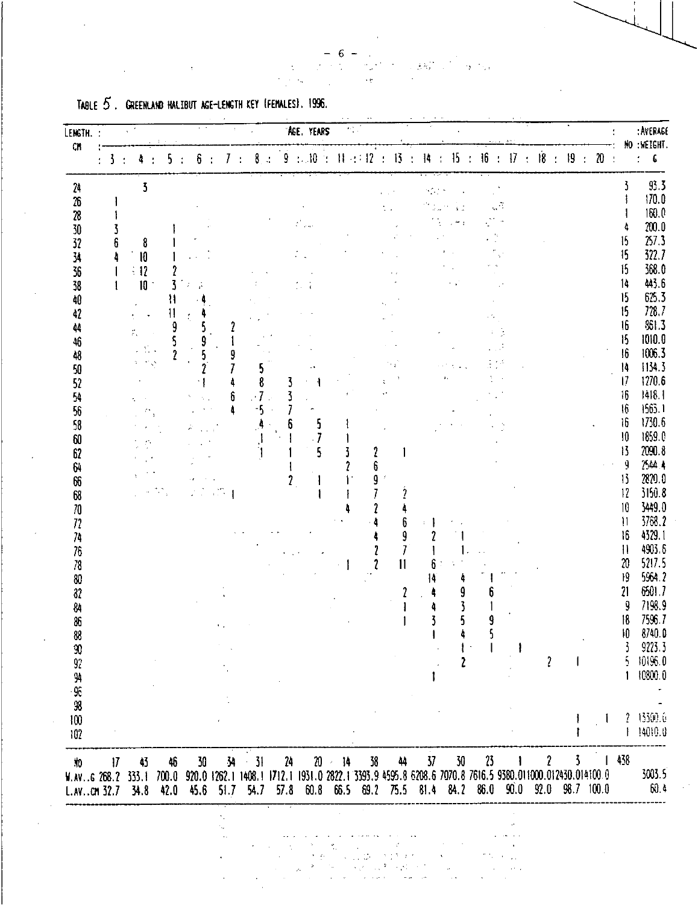|  |  | TABLE 5. GREENLAND HALIBUT AGE-LENGTH KEY (FEMALES). 1996. |                                   |  |
|--|--|------------------------------------------------------------|-----------------------------------|--|
|  |  |                                                            |                                   |  |
|  |  |                                                            | <b>Contract Contract Contract</b> |  |
|  |  |                                                            |                                   |  |

| LENGTH. :<br>$cn$                  |                         |                     |    |                                                            |              |           |              |    |                 |      |   | 'AGE, YEARS |           | $\mathcal{P}_{\mathcal{A}}^{\mathcal{B}}$ . |             |    |                         |                      |      |           |               |                |                |                 |         |                           |                         |                                             |                                                                                                                               |                             | : AVERAGE<br>NO : WEIGHT. |
|------------------------------------|-------------------------|---------------------|----|------------------------------------------------------------|--------------|-----------|--------------|----|-----------------|------|---|-------------|-----------|---------------------------------------------|-------------|----|-------------------------|----------------------|------|-----------|---------------|----------------|----------------|-----------------|---------|---------------------------|-------------------------|---------------------------------------------|-------------------------------------------------------------------------------------------------------------------------------|-----------------------------|---------------------------|
|                                    | $\overline{\mathbf{3}}$ |                     |    |                                                            |              |           |              |    | 8               |      |   | 9 : . 10    | 76        |                                             | $W \div 12$ | ÷  | 13 <sub>1</sub>         | $\ddot{\phantom{1}}$ | 14   | 15        |               | 16             | $\mathcal{L}$  | $\overline{17}$ | $\cdot$ | $\overline{18}$           | $\overline{\mathbf{r}}$ | $\overline{19}$<br>$\overline{\mathcal{L}}$ | $20$ :                                                                                                                        |                             | $\sim$ –6                 |
| 242628303234353840                 |                         |                     |    | $\overline{\mathbf{5}}$                                    |              |           |              |    |                 |      |   |             |           |                                             |             |    |                         |                      | ΥŽΣ, |           |               |                |                |                 |         |                           |                         |                                             |                                                                                                                               |                             | 93.5                      |
|                                    |                         |                     |    |                                                            |              |           |              |    |                 |      |   |             |           |                                             |             |    |                         |                      |      | $\cdot$ . | $\frac{1}{2}$ |                | $\mathbb{Z}^2$ |                 |         |                           |                         |                                             |                                                                                                                               |                             | 170.0                     |
|                                    |                         |                     |    |                                                            |              |           |              |    |                 |      |   |             |           |                                             |             |    |                         |                      |      |           |               |                |                |                 |         |                           |                         |                                             |                                                                                                                               |                             | 160.0                     |
|                                    |                         |                     |    |                                                            |              |           |              |    |                 |      |   |             |           |                                             |             |    |                         |                      |      |           |               |                |                |                 |         |                           |                         |                                             |                                                                                                                               |                             | $200.0$                   |
|                                    |                         | 6                   |    | 8                                                          |              |           |              |    |                 |      |   |             |           |                                             |             |    |                         |                      |      |           |               |                |                |                 |         |                           |                         |                                             |                                                                                                                               | 15<br>15                    | 257.3                     |
|                                    |                         |                     |    | 10                                                         |              |           |              |    |                 |      |   |             |           |                                             |             |    |                         |                      |      |           |               |                |                |                 |         |                           |                         |                                             |                                                                                                                               | 15                          | 322.7                     |
|                                    |                         |                     |    | $\div 12$                                                  |              |           |              |    |                 |      |   |             |           |                                             |             |    |                         |                      |      |           |               |                |                |                 |         |                           |                         |                                             |                                                                                                                               | 14                          | 368.0<br>443.6            |
|                                    |                         |                     |    | 10                                                         |              |           |              |    |                 |      |   |             |           |                                             |             |    |                         |                      |      |           |               |                |                |                 |         |                           |                         |                                             |                                                                                                                               | 15                          | 625.3                     |
|                                    |                         |                     |    |                                                            | 11           |           |              |    |                 |      |   |             |           |                                             |             |    |                         |                      |      |           |               |                |                |                 |         |                           |                         |                                             |                                                                                                                               | 15                          | 728.7                     |
| 42                                 |                         |                     |    |                                                            | $\mathbf{1}$ |           |              |    |                 |      |   |             |           |                                             |             |    |                         |                      |      |           |               |                |                |                 |         |                           |                         |                                             |                                                                                                                               | 16                          | 361.3                     |
| 44                                 |                         |                     | ř, |                                                            | 9            |           |              |    |                 |      |   |             |           |                                             |             |    |                         |                      |      |           |               |                |                |                 |         |                           |                         |                                             |                                                                                                                               | 15                          | 1010.0                    |
| 46<br>48                           |                         |                     |    | $\mathcal{L}(\Sigma)$ .                                    | ć            |           |              |    |                 |      |   |             |           |                                             |             |    |                         |                      |      |           |               |                |                |                 |         |                           |                         |                                             |                                                                                                                               | 16                          | 1006.3                    |
|                                    |                         |                     |    | $\mathcal{I}=\mathcal{I}^{\prime}\left( \mathbf{v}\right)$ |              |           |              |    | 5               |      |   |             |           |                                             |             |    |                         |                      |      |           |               |                |                |                 |         |                           |                         |                                             |                                                                                                                               | $\overline{14}$             | 1134.3                    |
| 50<br>52                           |                         |                     |    |                                                            |              |           |              |    | 8               |      |   |             |           |                                             |             |    |                         |                      |      |           |               |                |                |                 |         |                           |                         |                                             |                                                                                                                               | $\overline{1}$              | 1270.6                    |
|                                    |                         |                     |    |                                                            |              |           |              |    | $\cdot$ 7       |      |   |             |           |                                             |             |    |                         |                      |      |           |               |                |                |                 |         |                           |                         |                                             |                                                                                                                               | 16                          | 1418.1                    |
|                                    |                         |                     |    |                                                            |              |           |              |    | $-5$            |      |   |             |           |                                             |             |    |                         |                      |      |           |               |                |                |                 |         |                           |                         |                                             |                                                                                                                               | 16                          | 1563.1                    |
|                                    |                         |                     |    |                                                            |              |           |              |    |                 |      |   | 5           |           |                                             |             |    |                         |                      |      |           |               |                |                |                 |         |                           |                         |                                             |                                                                                                                               | $\mathfrak{h}$              | 1730.6                    |
|                                    |                         |                     |    |                                                            |              |           |              |    |                 |      |   |             |           |                                             |             |    |                         |                      |      |           |               |                |                |                 |         |                           |                         |                                             |                                                                                                                               | 10                          | 1859.0                    |
|                                    |                         |                     |    |                                                            |              |           |              |    |                 |      |   |             |           |                                             |             | 2  |                         |                      |      |           |               |                |                |                 |         |                           |                         |                                             |                                                                                                                               | 13                          | 2090.8                    |
|                                    |                         |                     |    |                                                            |              |           |              |    |                 |      |   |             |           |                                             |             | 6  |                         |                      |      |           |               |                |                |                 |         |                           |                         |                                             |                                                                                                                               | 9                           | 2544.4                    |
| 3622636358                         |                         |                     |    |                                                            |              |           |              |    |                 |      | Ż |             |           |                                             |             | 9  |                         |                      |      |           |               |                |                |                 |         |                           |                         |                                             |                                                                                                                               | 1 <sup>3</sup>              | 2220.0                    |
| 68                                 |                         |                     |    |                                                            |              |           |              |    |                 |      |   |             |           |                                             |             |    |                         |                      |      |           |               |                |                |                 |         |                           |                         |                                             |                                                                                                                               | 12                          | 3150.8                    |
|                                    |                         |                     |    |                                                            |              |           |              |    |                 |      |   |             |           |                                             |             |    |                         |                      |      |           |               |                |                |                 |         |                           |                         |                                             |                                                                                                                               | 10                          | 3449.0                    |
|                                    |                         |                     |    |                                                            |              |           |              |    |                 |      |   |             |           |                                             |             |    | 6                       |                      |      |           |               |                |                |                 |         |                           |                         |                                             |                                                                                                                               | $\mathbf{1}$                | 3768.2                    |
| 70<br>72<br>74<br>76<br>78         |                         |                     |    |                                                            |              |           |              |    |                 |      |   |             |           |                                             |             |    | 9                       |                      |      |           |               |                |                |                 |         |                           |                         |                                             |                                                                                                                               | 16                          | 4329.1                    |
|                                    |                         |                     |    |                                                            |              |           |              |    |                 |      |   |             |           |                                             |             |    | $\overline{I}$          |                      |      |           |               |                |                |                 |         |                           |                         |                                             |                                                                                                                               | $\mathbf{1}$                | 4903.6                    |
|                                    |                         |                     |    |                                                            |              |           |              |    |                 |      |   |             |           |                                             |             |    | $\overline{\mathsf{I}}$ |                      | 6    |           |               |                |                |                 |         |                           |                         |                                             |                                                                                                                               | $\boldsymbol{\mathfrak{A}}$ | 5217.5                    |
| $80\,$                             |                         |                     |    |                                                            |              |           |              |    |                 |      |   |             |           |                                             |             |    |                         |                      | 14   |           |               |                |                |                 |         |                           |                         |                                             |                                                                                                                               | 19                          | 5964.2                    |
| 82                                 |                         |                     |    |                                                            |              |           |              |    |                 |      |   |             |           |                                             |             |    |                         |                      |      |           | 9             |                |                |                 |         |                           |                         |                                             |                                                                                                                               | 21                          | 6501.7                    |
| 84                                 |                         |                     |    |                                                            |              |           |              |    |                 |      |   |             |           |                                             |             |    |                         |                      |      |           |               |                |                |                 |         |                           |                         |                                             |                                                                                                                               | 9                           | 7198.9                    |
| 86                                 |                         |                     |    |                                                            |              |           | $\mathbf{L}$ |    |                 |      |   |             |           |                                             |             |    |                         |                      | 3    |           |               | 9              |                |                 |         |                           |                         |                                             |                                                                                                                               | 18                          | 7596.7                    |
| 88                                 |                         |                     |    |                                                            |              |           |              |    |                 |      |   |             |           |                                             |             |    |                         |                      |      |           |               | b.             |                |                 |         |                           |                         |                                             |                                                                                                                               | 10                          | 8740.0                    |
| 90<br>92<br>94                     |                         |                     |    |                                                            |              |           |              |    |                 |      |   |             |           |                                             |             |    |                         |                      |      |           |               |                |                |                 |         |                           |                         |                                             |                                                                                                                               |                             | 9223.3                    |
|                                    |                         |                     |    |                                                            |              |           |              |    |                 |      |   |             |           |                                             |             |    |                         |                      |      |           |               |                |                |                 |         | $\overline{\mathfrak{c}}$ |                         |                                             |                                                                                                                               | 5                           | 10196.0                   |
|                                    |                         |                     |    |                                                            |              |           |              |    |                 |      |   |             |           |                                             |             |    |                         |                      |      |           |               |                |                |                 |         |                           |                         |                                             |                                                                                                                               |                             | 10800.0                   |
| 96                                 |                         |                     |    |                                                            |              |           |              |    |                 |      |   |             |           |                                             |             |    |                         |                      |      |           |               |                |                |                 |         |                           |                         |                                             |                                                                                                                               |                             |                           |
| 98                                 |                         |                     |    |                                                            |              |           |              |    |                 |      |   |             |           |                                             |             |    |                         |                      |      |           |               |                |                |                 |         |                           |                         |                                             | $\mathbf{I}$                                                                                                                  | $\mathcal{L}$               | 13300.0                   |
| 100                                |                         |                     |    |                                                            |              |           |              |    |                 |      |   |             |           |                                             |             |    |                         |                      |      |           |               |                |                |                 |         |                           |                         | j.                                          |                                                                                                                               |                             | 14010.0                   |
| 102                                |                         |                     |    |                                                            |              |           |              |    |                 |      |   |             |           |                                             |             |    |                         |                      |      |           |               |                |                |                 |         |                           |                         |                                             |                                                                                                                               |                             |                           |
| 10                                 |                         | $\boldsymbol{\eta}$ |    | 43                                                         | 46           | 30        |              | 34 | $\frac{3!}{2!}$ | 24   |   |             | $20 - 14$ |                                             |             | 38 | 44                      |                      | 37   |           | 30            | 23             |                |                 |         | $\mathbf{r}$              |                         | 3.                                          | $\mathbf{I}$<br>700.0 920.0 1262.1 1408.1 1712.1 1931.0 2822.1 3393.9 4595.8 6208.6 7070.8 7616.5 9380.011000.012430.014100.0 | 438                         | 3003.5                    |
| W.AV. G 268.2 333.1<br>L.AVCM 32.7 |                         |                     |    | 34.8                                                       | 42.0         | 45.6 51.7 |              |    | 54.7            | 57.8 |   | 60.8 66.5   |           |                                             |             |    | 69.2 75.5 81.4 84.2     |                      |      |           |               | 86.0 90.0 92.0 |                |                 |         |                           |                         |                                             | 98.7 100.0                                                                                                                    |                             | 60.4                      |
|                                    |                         |                     |    |                                                            |              |           |              |    |                 |      |   |             |           |                                             |             |    |                         |                      |      |           |               |                |                |                 |         |                           |                         |                                             |                                                                                                                               |                             |                           |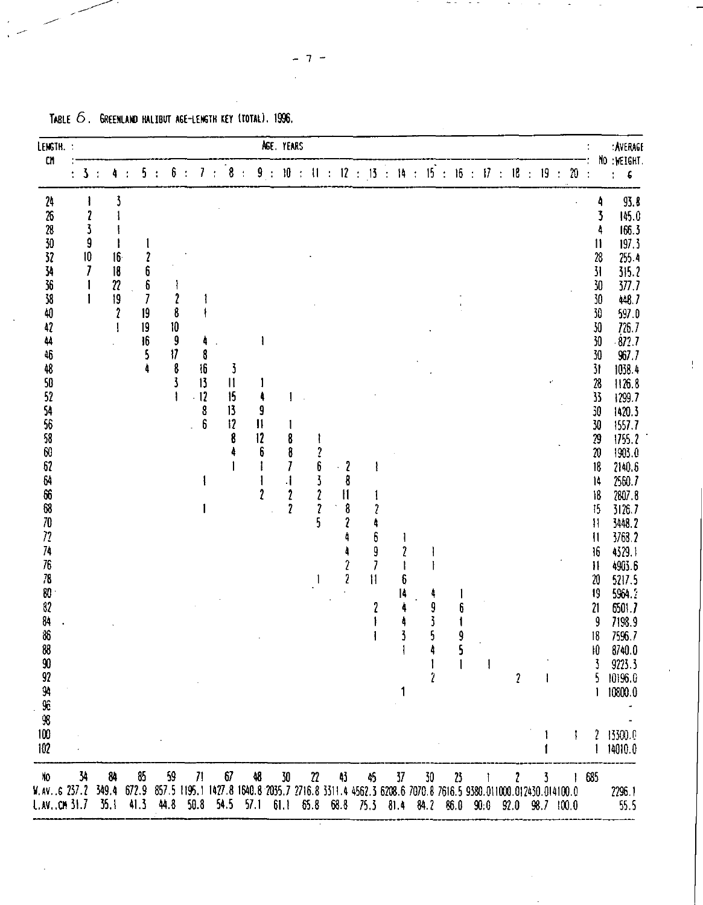| LENGTH.                                                                                                                                                                                                                                                                             |                                                  |                                                                           |                                                 |                                                    |                                              |                                     |                               | AGE YEARS   |                                                                          |                                                                  |                                                                                                                                            |                                                              |              |                                           |   |              |           |                     |    |               |        |                                                                                                                                                                                                                                                                                                                                                                       | : AVERAGE                                                                                                                                                                                                                                                                                                                                                                         |
|-------------------------------------------------------------------------------------------------------------------------------------------------------------------------------------------------------------------------------------------------------------------------------------|--------------------------------------------------|---------------------------------------------------------------------------|-------------------------------------------------|----------------------------------------------------|----------------------------------------------|-------------------------------------|-------------------------------|-------------|--------------------------------------------------------------------------|------------------------------------------------------------------|--------------------------------------------------------------------------------------------------------------------------------------------|--------------------------------------------------------------|--------------|-------------------------------------------|---|--------------|-----------|---------------------|----|---------------|--------|-----------------------------------------------------------------------------------------------------------------------------------------------------------------------------------------------------------------------------------------------------------------------------------------------------------------------------------------------------------------------|-----------------------------------------------------------------------------------------------------------------------------------------------------------------------------------------------------------------------------------------------------------------------------------------------------------------------------------------------------------------------------------|
| ${\rm C1}$                                                                                                                                                                                                                                                                          | 3                                                | 4                                                                         | 5<br>$\cdot$                                    | 6                                                  | 7                                            | 8<br>$\ddot{\phantom{a}}$           | $\mathcal{L}_{\mathbf{r}}$    | 9:          | $10\,$                                                                   |                                                                  |                                                                                                                                            | $\pm$ 11 $\pm$ 12 $\pm$ 13 $\pm$                             |              | 14 : 15 :                                 |   |              | 16 : 17 : | 18<br>$\mathcal{L}$ | 19 | $\frac{1}{2}$ | $20\,$ | $\mathcal{L}$                                                                                                                                                                                                                                                                                                                                                         | NO :MEIGHT<br>$\pmb{\epsilon}$<br>$\overline{\mathbf{r}}$                                                                                                                                                                                                                                                                                                                         |
| $\overline{\mathfrak{z}}$<br>26<br>28<br>30<br>32<br>34<br>36<br>38<br>40<br>42<br>44<br>46<br>48<br>50<br>52<br>54<br>56<br>58<br>60<br>62<br>64<br>66<br>$68\,$<br>$70\,$<br>72<br>74<br>76<br>78<br>80<br>$32\,$<br>84<br>86<br>$8\!\!\!8$<br>90 92 94 96 98<br>100<br>102<br>10 | $\boldsymbol{\imath}$<br>3<br>9<br>10<br>7<br>34 | 16<br>18<br>$\boldsymbol{\eta}$<br>19<br>$\boldsymbol{\imath}$<br>1<br>84 | 2<br>6<br>$\pmb{5}$<br>7<br>19<br>19<br>16<br>5 | 2<br>8<br>10<br>9<br>$\boldsymbol{\eta}$<br>8<br>3 | 4<br>8<br>16<br>13<br>$-12$<br>$\frac{3}{6}$ | 3<br>$\vert$<br>15<br>13<br>12<br>8 | 9<br>$\mathbf{11}$<br>12<br>6 | $\mathbf 2$ | 8<br>8<br>7<br>1<br>$\boldsymbol{\mathit{2}}$<br>$\overline{\mathbf{r}}$ | 2<br>6<br>$\overline{\mathbf{3}}$<br>$\pmb{?}$<br>$\pmb{?}$<br>5 | $\boldsymbol{\mathcal{L}}$<br>8<br>$\mathfrak{h}$<br>8<br>$\overline{\mathbf{c}}$<br>$\boldsymbol{\mathcal{I}}$<br>$\overline{\mathbf{r}}$ | $\boldsymbol{6}$<br>9<br>$\overline{I}$<br>$\mathbf{1}$<br>2 | 6<br>14<br>1 | 9<br>5<br>4<br>$\boldsymbol{\mathcal{V}}$ | 1 | $\mathbf{I}$ |           |                     |    | l.            | ţ      | 4<br>3<br>4<br>$\mathbf{1}$<br>28<br>$\overline{\mathbf{3}}$<br>30<br>30<br>30<br>30<br>30<br>30<br>31<br>$\overline{26}$<br>$\overline{\mathbf{3}}$<br>30<br>30<br>79<br>$\boldsymbol{\mathcal{X}}$<br>18<br>14<br>18<br>15<br>Ħ<br>$\mathbf{\mathsf{I}}$<br>16<br>$\boldsymbol{\mathsf{H}}$<br>20<br>19<br>$\overline{21}$<br>9<br>18<br>$\vert 0 \vert$<br>5.<br>l | 93.8<br>145.0<br>166.3<br>197.3<br>255.4<br>315.2<br>377.7<br>448.7<br>597.0<br>726.7<br>672.7<br>967.7<br>1038.4<br>1126.8<br>1299 7<br>1420.3<br>1557.7<br>1755.2<br>1903.0<br>2140.6<br>2560.7<br>2807.8<br>3126.7<br>3448.2<br>3768.2<br>4329.1<br>4903.6<br>5217.5<br>5964 ?<br>6501.7<br>7198.9<br>7596.7<br>8740.0<br>9223.3<br>10196.0<br>10800.0<br>2 13300.0<br>14010.0 |

Ţ.

TABLE  $6$ . GREENLAND HALIBUT AGE-LENGTH KEY (TOTAL), 1996.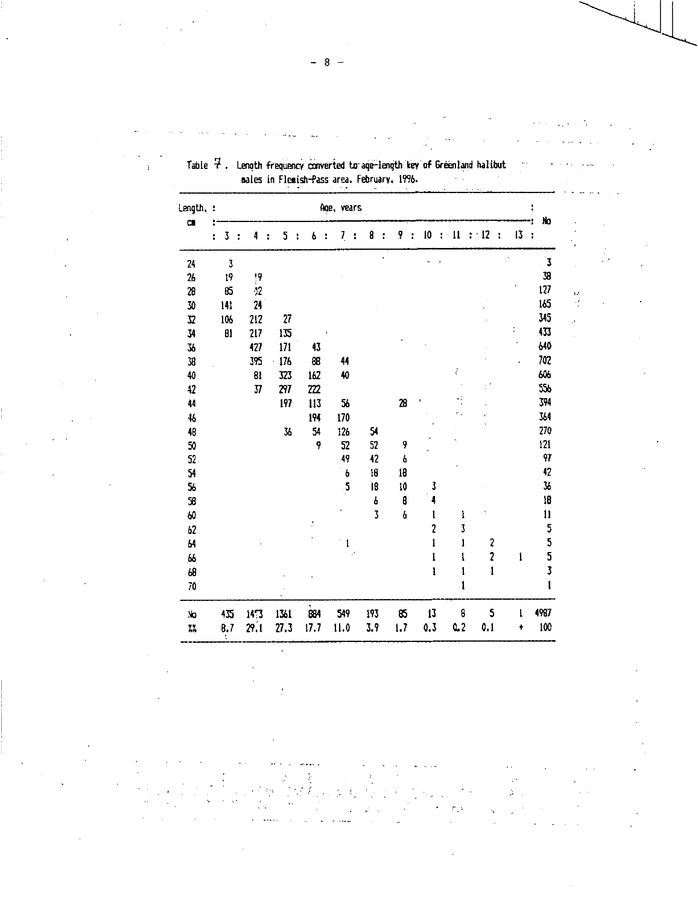| Length, :     |   |                         |   |                |      |   |                                  |   | Age, vears |   |                         |     |                         |                |                         |   |    | No                    |
|---------------|---|-------------------------|---|----------------|------|---|----------------------------------|---|------------|---|-------------------------|-----|-------------------------|----------------|-------------------------|---|----|-----------------------|
| $\alpha$      | ÷ | 3                       | ÷ | 4              | 5    | ÷ | 6                                | ÷ | Z          | t | 8                       | 9   | 10                      | $\cdot$ 11     | $\div$ 12               | t | 13 | $\ddot{\cdot}$        |
| 24            |   | $\overline{\mathbf{3}}$ |   |                |      |   |                                  |   |            |   |                         |     |                         |                |                         |   |    | $\mathbf{\bar{3}}$    |
| $\mathbf{26}$ |   | 19                      |   | 19             |      |   |                                  |   |            |   |                         |     |                         |                |                         |   |    | 38                    |
| 28            |   | 85                      |   | $\dot{2}$      |      |   |                                  |   |            |   |                         |     |                         |                |                         |   |    | 127                   |
| 30            |   | 141                     |   | 24             |      |   |                                  |   |            |   |                         |     |                         |                |                         |   |    | 165                   |
| 32            |   | 106                     |   | 212            | 27   |   |                                  |   |            |   |                         |     |                         |                |                         |   |    | 345                   |
| 34            |   | $\mathbf{B}$            |   | 217            | 135  |   |                                  |   |            |   |                         |     |                         |                |                         |   |    | 433                   |
| 36            |   |                         |   | 427            | 171  |   | 43                               |   |            |   |                         |     |                         |                |                         |   |    | 640                   |
| 38            |   |                         |   | 395            | 176  |   | 86                               |   | 44         |   |                         |     |                         |                |                         |   |    | 702                   |
| 40            |   |                         |   | 81             | 523  |   | 162                              |   | 40         |   |                         |     |                         | ł              |                         |   |    | 606                   |
| 42            |   |                         |   | $\overline{M}$ | 297  |   | 222                              |   |            |   |                         |     |                         |                |                         |   |    | 555                   |
| 44            |   |                         |   |                | 197  |   | 113                              |   | 56         |   |                         | 28  |                         |                |                         |   |    | 394                   |
| 46            |   |                         |   |                |      |   | 194                              |   | 170        |   |                         |     |                         |                |                         |   |    | 364                   |
| 48            |   |                         |   |                | 36   |   | 54                               |   | 126        |   | 54                      |     |                         |                |                         |   |    | 270                   |
| 50            |   |                         |   |                |      |   | 9                                |   | 52         |   | 52                      | 9   |                         |                |                         |   |    | 121                   |
| 52            |   |                         |   |                |      |   |                                  |   | 49         |   | 42                      | 6   |                         |                |                         |   |    | 97                    |
| 54            |   |                         |   |                |      |   |                                  |   | 6          |   | 18                      | 18  |                         |                |                         |   |    | 42                    |
| 56            |   |                         |   |                |      |   |                                  |   | .5         |   | 18                      | 10  | 3                       |                |                         |   |    | $\overline{36}$       |
| ${\bf S}$     |   |                         |   |                |      |   |                                  |   |            |   | 6                       | 8   | 4                       |                |                         |   |    | 18                    |
| 60            |   |                         |   |                |      |   |                                  |   |            |   | $\overline{\mathbf{3}}$ | 6   | 1                       | ł              | 1                       |   |    | $\mathbf{11}$         |
| 62            |   |                         |   |                |      |   | $\stackrel{\bullet}{\downarrow}$ |   |            |   |                         |     | $\overline{\mathbf{c}}$ | 3              |                         |   |    |                       |
| 64            |   |                         |   |                |      |   |                                  |   | l          |   |                         |     | $\mathbf{1}$            | ı              | 2                       |   |    |                       |
| 66            |   |                         |   |                |      |   |                                  |   |            |   |                         |     | 1                       | l              | $\overline{\mathbf{c}}$ |   | 1  | 5<br>5<br>5<br>5<br>3 |
| 68            |   |                         |   |                |      |   |                                  |   |            |   |                         |     | ı                       | 1              | $\mathbf{1}$            |   |    |                       |
| 70            |   |                         |   |                |      |   |                                  |   |            |   |                         |     |                         | 1              |                         |   |    |                       |
| No            |   | 435                     |   | 14.3           | 1361 |   | 884                              |   | 549        |   | 193                     | 85  | 13                      | 8              | 5                       |   | ı  | 4987                  |
| $\tilde{A}$   |   | 0.7                     |   | 29.1           | 27.3 |   | 17.7                             |   | 11.0       |   | 3.9                     | 1.7 | 0.3                     | Q <sub>2</sub> | 0.1                     |   | ŧ  | 100                   |

 $\bar{\nu}$ Ą

Table  $\bar{P}$  . Length frequency converted to age-length key of Greenland halibut sales in Flemish-Pass area. February. 1496.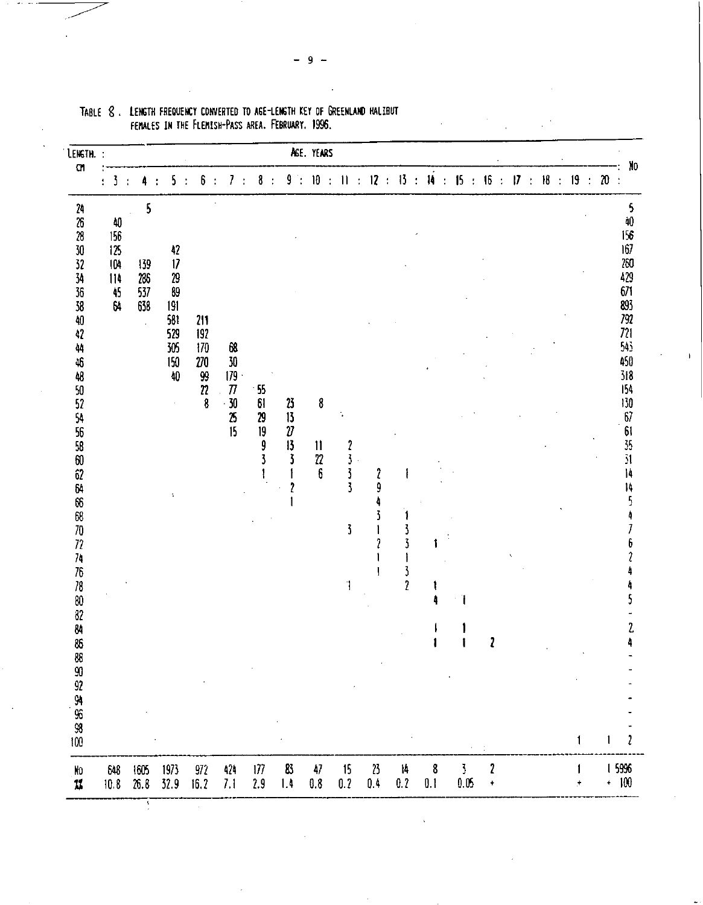| LENGTH. :                                                                       |                                                                           |                          |                |                                                                      |   |                                                     |              |                                                           |               |                                                                 |           |                                                                    | AGE. YEARS                            |       |                                                                                 |                                                |                                                    |          |               |                                     |  |            |               |    |           |                     |                                                                                                                                                                                                                                                                     |
|---------------------------------------------------------------------------------|---------------------------------------------------------------------------|--------------------------|----------------|----------------------------------------------------------------------|---|-----------------------------------------------------|--------------|-----------------------------------------------------------|---------------|-----------------------------------------------------------------|-----------|--------------------------------------------------------------------|---------------------------------------|-------|---------------------------------------------------------------------------------|------------------------------------------------|----------------------------------------------------|----------|---------------|-------------------------------------|--|------------|---------------|----|-----------|---------------------|---------------------------------------------------------------------------------------------------------------------------------------------------------------------------------------------------------------------------------------------------------------------|
| C1                                                                              | 3<br>÷                                                                    | 4<br>$\mathcal{X}$       | $\ddot{\cdot}$ | 5                                                                    | ÷ | 6                                                   | $\mathbf{r}$ | 7                                                         | $\frac{1}{2}$ | 8<br>$\ddot{\cdot}$                                             | 9         | $\mathcal{L}_{\mathcal{L}}$                                        | ${\bf 10}$                            | $\pm$ | $\Pi$ :                                                                         |                                                | $12 \div 13 \div 14 \div 15 \div 16 \div 17 \div$  |          |               |                                     |  | ${\sf I}8$ | $\mathcal{L}$ | 19 | $\bar{z}$ | $\pmb{\mathcal{N}}$ | No<br>$\frac{1}{2}$                                                                                                                                                                                                                                                 |
| 24 26 28 30 32 34 35 38 40 42<br>4444525455860264668727274767882848689934568800 | $\begin{array}{c} 40 \\ 156 \end{array}$<br>125<br>104<br>114<br>45<br>64 | 139<br>286<br>537<br>638 | 5              | $\frac{42}{17}$<br>29<br>89<br>191<br>581<br>529<br>305<br>150<br>40 |   | 211<br>192<br>170<br>$270\,$<br>99<br>$\frac{2}{8}$ |              | 68<br>30<br>179.<br>$\boldsymbol{\pi}$<br>$\frac{30}{25}$ |               | 55<br>61<br>29<br>$\begin{array}{c}\n19 \\ 9 \\ 3\n\end{array}$ |           | $\frac{23}{13}$<br>$\frac{27}{13}$<br>3<br>$\overline{\mathbf{r}}$ | 8<br>$\mathbf{11}$<br>$\sqrt{2}$<br>6 |       | $\begin{array}{c} 2 \\ 3 \\ 3 \\ 3 \end{array}$<br>$\overline{\mathbf{3}}$<br>1 | $\boldsymbol{\mathcal{I}}$<br>9<br>4<br>3<br>2 | $\overline{\mathbf{3}}$<br>$\overline{\mathbf{r}}$ |          | Ï<br>÷.       | 2                                   |  |            |               | 1  |           | 1                   | 5<br>ÀO<br>156<br>167<br>260<br>429<br>671<br>893<br>$792\,$<br>721<br>$543$<br>450<br>318<br>154<br>130<br>$\begin{array}{c} 67 \\ 61 \\ 35 \\ 31 \end{array}$<br>$\mathbf{I}$<br>14<br>$\overline{\mathbf{5}}$<br>4<br>$\overline{I}$<br>6<br>$\hat{z}$<br>2<br>2 |
| No.<br>$\boldsymbol{L}$                                                         | 648<br>10.8                                                               | 1605<br>26.8             |                | 1973<br>32.9                                                         |   | 972<br>16.2                                         |              | 424<br>7.1                                                |               | 177<br>2.9                                                      | 83<br>1.4 |                                                                    | 47<br>$0.8\,$                         |       | 15<br>0.2                                                                       | $\boldsymbol{v}$<br>$0.4\,$                    | 14<br>0.2                                          | 8<br>0.1 | 3<br>$0.05\,$ | $\boldsymbol{\imath}$<br>$\ddagger$ |  |            |               | ÷, |           |                     | 1 5996<br>$+$ 100                                                                                                                                                                                                                                                   |

TABLE 8. LENGTH FREQUENCY CONVERTED TO AGE-LENGTH KEY OF GREENLAND HALIBUT FEMALES IN THE FLEMISH-PASS AREA. FEBRUARY. 1996.

9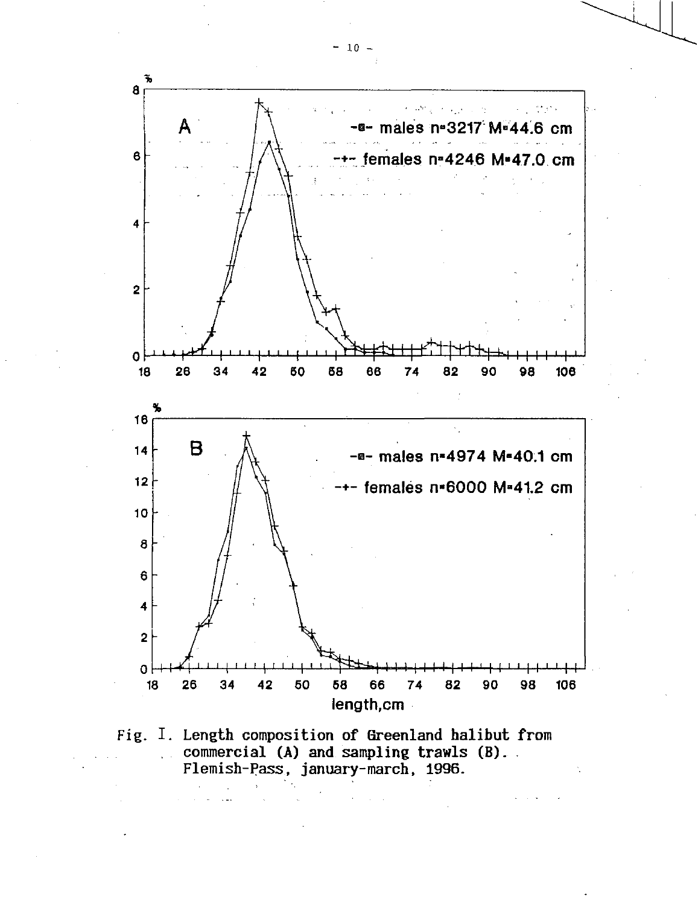

Fig. I. Length composition of Greenland halibut from commercial (A) and sampling trawls (B). . Flemish-Pass, january-march, 1996.